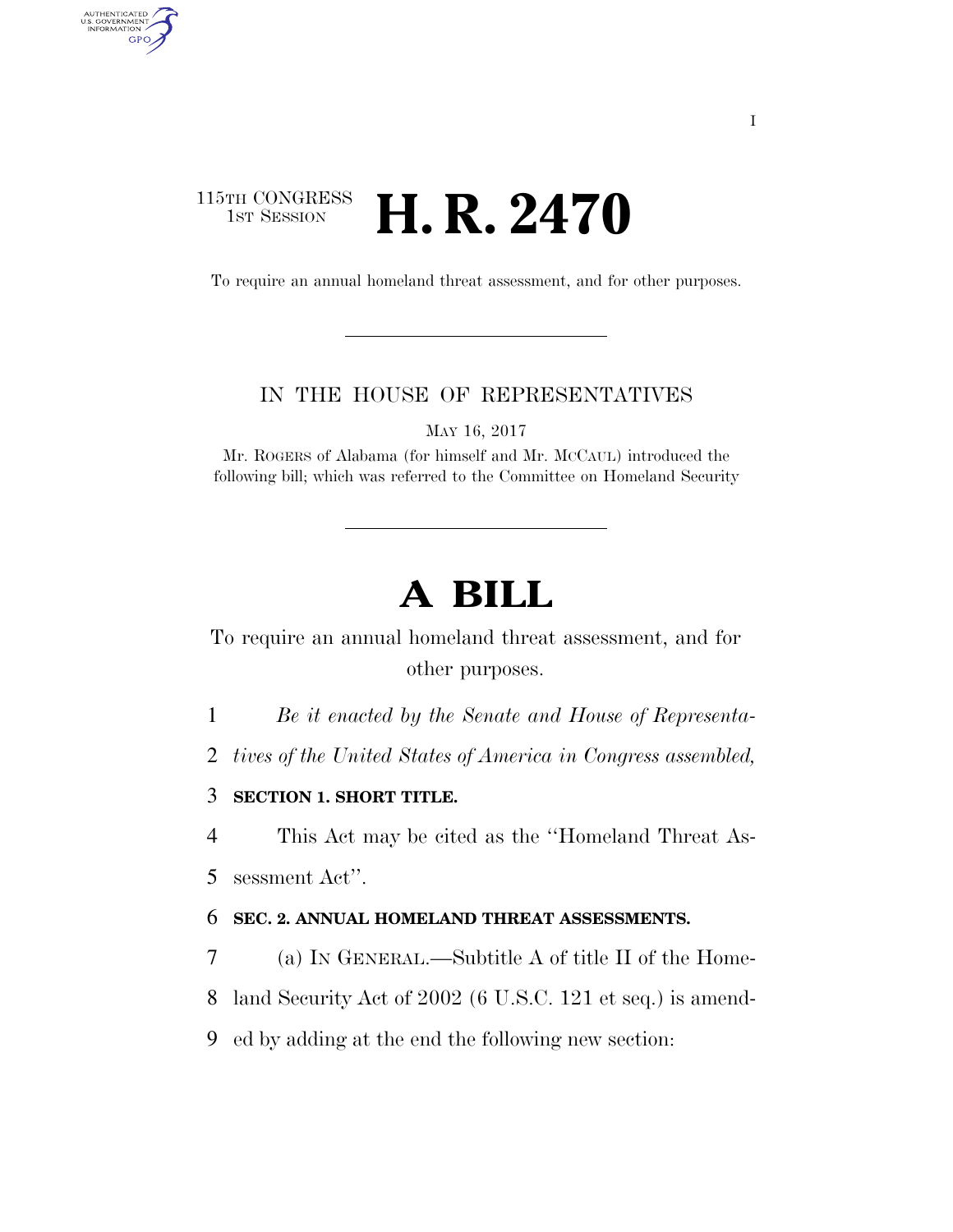## 115TH CONGRESS<br>1st Session **H. R. 2470**

AUTHENTICATED<br>U.S. GOVERNMENT<br>INFORMATION GPO

To require an annual homeland threat assessment, and for other purposes.

### IN THE HOUSE OF REPRESENTATIVES

MAY 16, 2017

Mr. ROGERS of Alabama (for himself and Mr. MCCAUL) introduced the following bill; which was referred to the Committee on Homeland Security

# **A BILL**

To require an annual homeland threat assessment, and for other purposes.

1 *Be it enacted by the Senate and House of Representa-*

2 *tives of the United States of America in Congress assembled,* 

3 **SECTION 1. SHORT TITLE.** 

4 This Act may be cited as the ''Homeland Threat As-5 sessment Act''.

### 6 **SEC. 2. ANNUAL HOMELAND THREAT ASSESSMENTS.**

7 (a) IN GENERAL.—Subtitle A of title II of the Home-8 land Security Act of 2002 (6 U.S.C. 121 et seq.) is amend-

9 ed by adding at the end the following new section: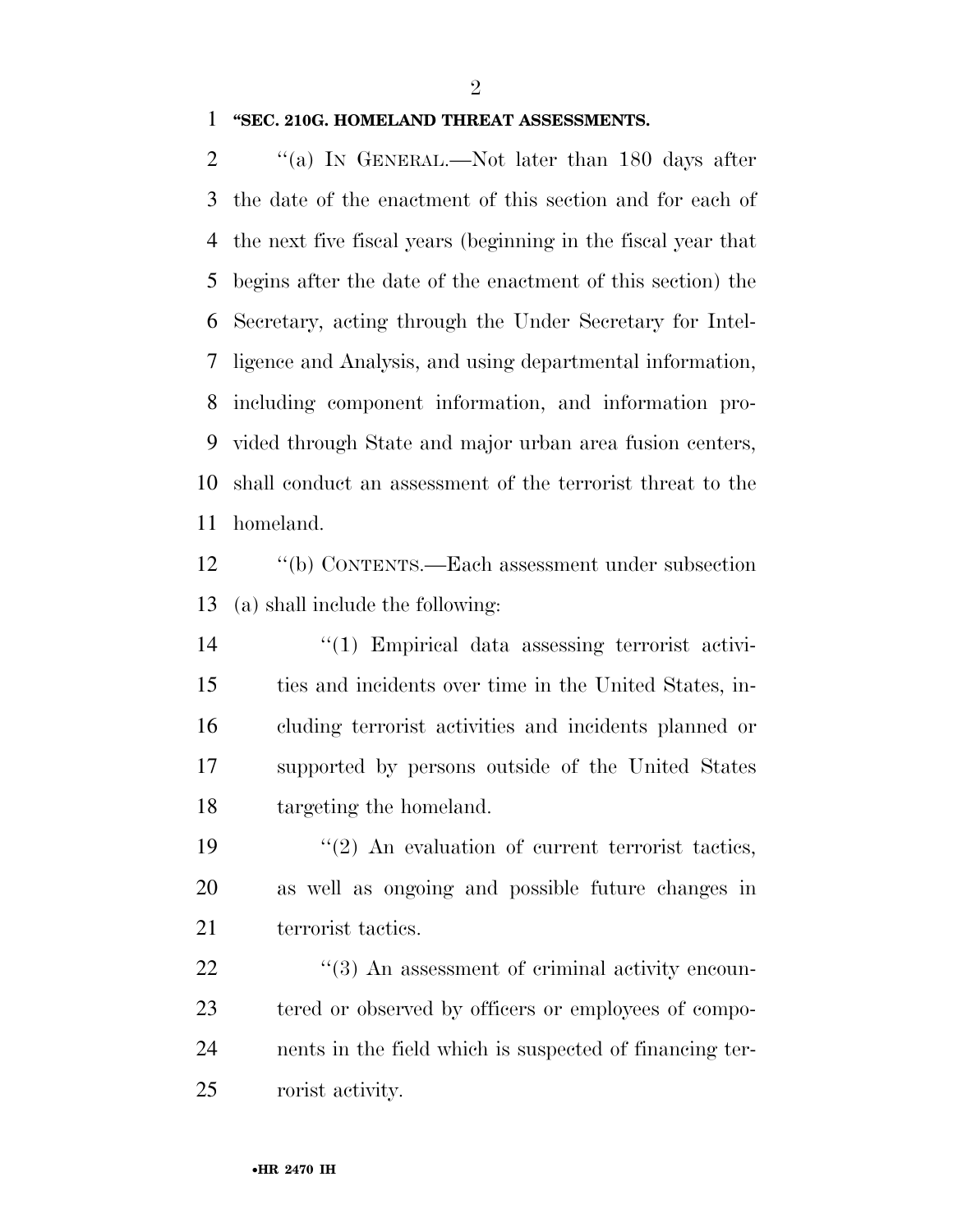$\mathfrak{D}$ 

#### **''SEC. 210G. HOMELAND THREAT ASSESSMENTS.**

2 "(a) In GENERAL.—Not later than 180 days after the date of the enactment of this section and for each of the next five fiscal years (beginning in the fiscal year that begins after the date of the enactment of this section) the Secretary, acting through the Under Secretary for Intel- ligence and Analysis, and using departmental information, including component information, and information pro- vided through State and major urban area fusion centers, shall conduct an assessment of the terrorist threat to the homeland.

 ''(b) CONTENTS.—Each assessment under subsection (a) shall include the following:

 ''(1) Empirical data assessing terrorist activi- ties and incidents over time in the United States, in- cluding terrorist activities and incidents planned or supported by persons outside of the United States targeting the homeland.

19  $\frac{1}{2}$  An evaluation of current terrorist tactics, as well as ongoing and possible future changes in 21 terrorist tactics.

 $\frac{u(3)}{2}$  An assessment of criminal activity encoun- tered or observed by officers or employees of compo- nents in the field which is suspected of financing ter-rorist activity.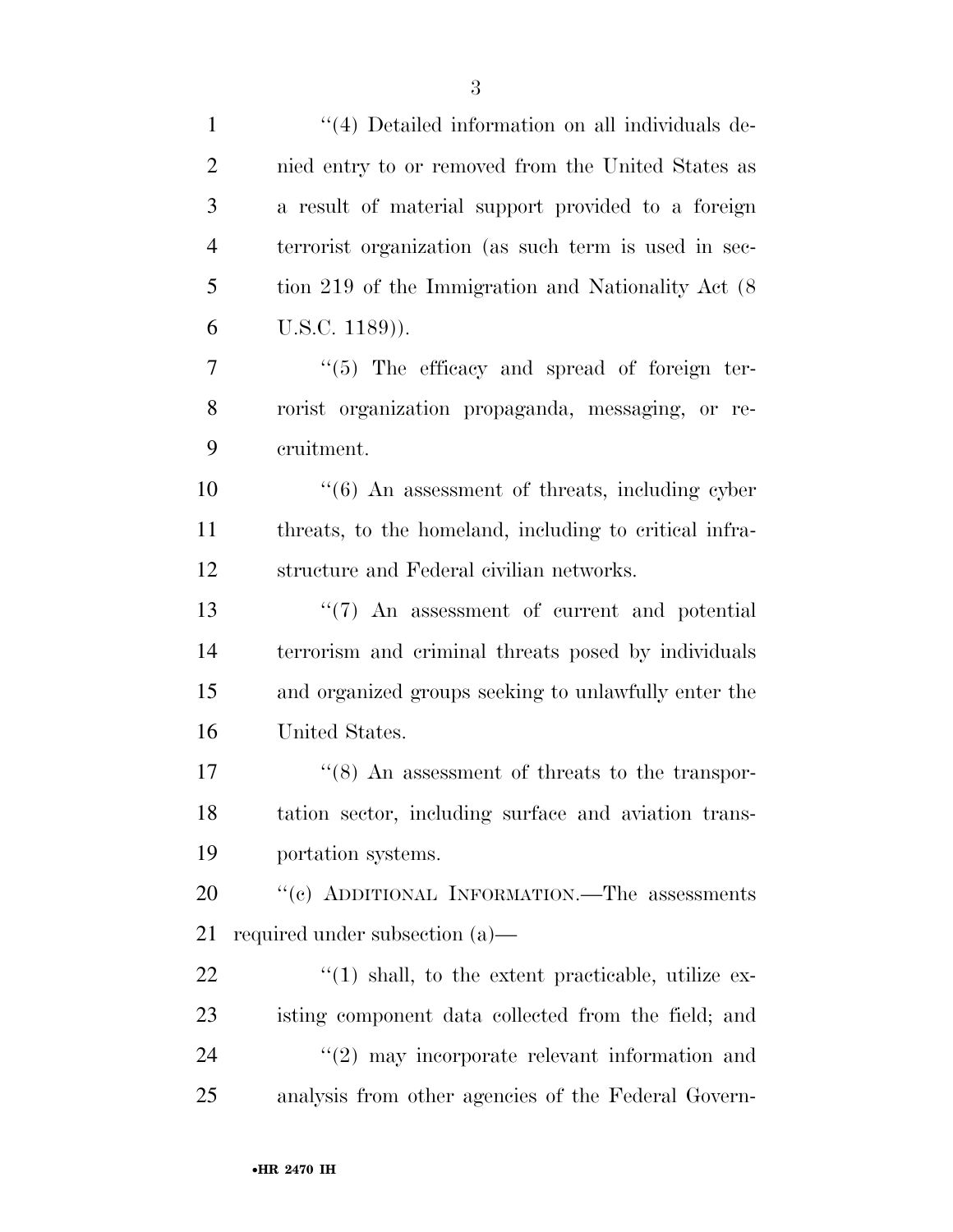| $\mathbf{1}$   | "(4) Detailed information on all individuals de-           |
|----------------|------------------------------------------------------------|
| $\overline{2}$ | nied entry to or removed from the United States as         |
| 3              | a result of material support provided to a foreign         |
| $\overline{4}$ | terrorist organization (as such term is used in sec-       |
| 5              | tion 219 of the Immigration and Nationality Act (8)        |
| 6              | $U.S.C. 1189)$ ).                                          |
| 7              | "(5) The efficacy and spread of foreign ter-               |
| 8              | rorist organization propaganda, messaging, or re-          |
| 9              | cruitment.                                                 |
| 10             | $\cdot\cdot$ (6) An assessment of threats, including cyber |
| 11             | threats, to the homeland, including to critical infra-     |
| 12             | structure and Federal civilian networks.                   |
| 13             | $\lq(7)$ An assessment of current and potential            |
| 14             | terrorism and criminal threats posed by individuals        |
| 15             | and organized groups seeking to unlawfully enter the       |
| 16             | United States.                                             |
| 17             | $\cdot\cdot$ (8) An assessment of threats to the transpor- |
| 18             | tation sector, including surface and aviation trans-       |
| 19             | portation systems.                                         |
| 20             | "(c) ADDITIONAL INFORMATION.—The assessments               |
| 21             | required under subsection (a)—                             |
| 22             | $\lq(1)$ shall, to the extent practicable, utilize ex-     |
| 23             | isting component data collected from the field; and        |
| 24             | $\lq(2)$ may incorporate relevant information and          |
| 25             | analysis from other agencies of the Federal Govern-        |